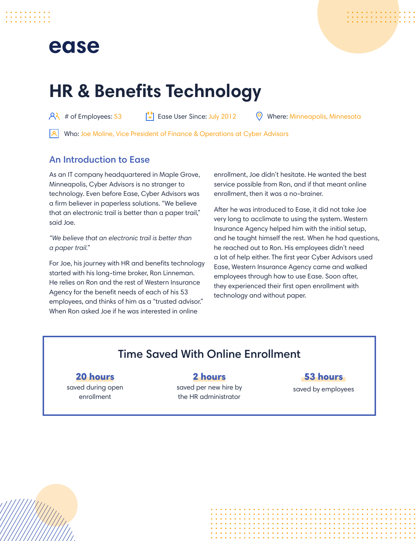## ease



# **HR & Benefits Technology**

 $\begin{array}{ccc} 8 & 4 \\ 1 & 6 \end{array}$  # of Employees: 53  $\begin{bmatrix} 6 \\ 6 \end{bmatrix}$  Ease User Since: July 2012  $\begin{array}{ccc} 0 & 0 \\ 0 & 0 \end{array}$  Where: Minneapolis, Minnesota

Who: Joe Moline, Vice President of Finance & Operations at Cyber Advisors

#### An Introduction to Ease

As an IT company headquartered in Maple Grove, Minneapolis, Cyber Advisors is no stranger to technology. Even before Ease, Cyber Advisors was a firm believer in paperless solutions. "We believe that an electronic trail is better than a paper trail," said Joe.

*"We believe that an electronic trail is better than a paper trail."*

For Joe, his journey with HR and benefits technology started with his long-time broker, Ron Linneman. He relies on Ron and the rest of Western Insurance Agency for the benefit needs of each of his 53 employees, and thinks of him as a "trusted advisor." When Ron asked Joe if he was interested in online

enrollment, Joe didn't hesitate. He wanted the best service possible from Ron, and if that meant online enrollment, then it was a no-brainer.

After he was introduced to Ease, it did not take Joe very long to acclimate to using the system. Western Insurance Agency helped him with the initial setup, and he taught himself the rest. When he had questions, he reached out to Ron. His employees didn't need a lot of help either. The first year Cyber Advisors used Ease, Western Insurance Agency came and walked employees through how to use Ease. Soon after, they experienced their first open enrollment with technology and without paper.

### Time Saved With Online Enrollment

#### 20 hours

saved during open enrollment

#### 2 hours

saved per new hire by the HR administrator

#### 53 hours

saved by employees